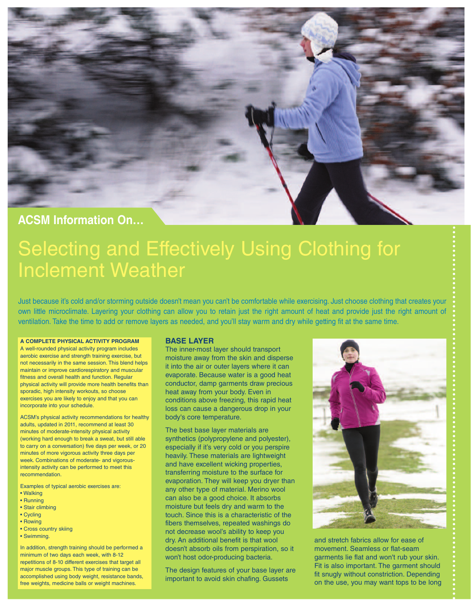

# **ACSM Information On…**

# Selecting and Effectively Using Clothing for Inclement Weather

Just because it's cold and/or storming outside doesn't mean you can't be comfortable while exercising. Just choose clothing that creates your own little microclimate. Layering your clothing can allow you to retain just the right amount of heat and provide just the right amount of ventilation. Take the time to add or remove layers as needed, and you'll stay warm and dry while getting fit at the same time.

# **A COMPLETE PHYSICAL ACTIVITY PROGRAM**

A well-rounded physical activity program includes aerobic exercise and strength training exercise, but not necessarily in the same session. This blend helps maintain or improve cardiorespiratory and muscular fitness and overall health and function. Regular physical activity will provide more health benefits than sporadic, high intensity workouts, so choose exercises you are likely to enjoy and that you can incorporate into your schedule.

ACSM's physical activity recommendations for healthy adults, updated in 2011, recommend at least 30 minutes of moderate-intensity physical activity (working hard enough to break a sweat, but still able to carry on a conversation) five days per week, or 20 minutes of more vigorous activity three days per week. Combinations of moderate- and vigorousintensity activity can be performed to meet this recommendation.

Examples of typical aerobic exercises are:

- Walking
- Running
- Stair climbing
- Cycling
- Rowing
- Cross country skiing
- Swimming.

In addition, strength training should be performed a minimum of two days each week, with 8-12 repetitions of 8-10 different exercises that target all major muscle groups. This type of training can be accomplished using body weight, resistance bands, free weights, medicine balls or weight machines

# **BASE LAYER**

The inner-most layer should transport moisture away from the skin and disperse it into the air or outer layers where it can evaporate. Because water is a good heat conductor, damp garments draw precious heat away from your body. Even in conditions above freezing, this rapid heat loss can cause a dangerous drop in your body's core temperature.

The best base layer materials are synthetics (polypropylene and polyester), especially if it's very cold or you perspire heavily. These materials are lightweight and have excellent wicking properties, transferring moisture to the surface for evaporation. They will keep you dryer than any other type of material. Merino wool can also be a good choice. It absorbs moisture but feels dry and warm to the touch. Since this is a characteristic of the fibers themselves, repeated washings do not decrease wool's ability to keep you dry. An additional benefit is that wool doesn't absorb oils from perspiration, so it won't host odor-producing bacteria.

The design features of your base layer are important to avoid skin chafing. Gussets



and stretch fabrics allow for ease of movement. Seamless or flat-seam garments lie flat and won't rub your skin. Fit is also important. The garment should fit snugly without constriction. Depending on the use, you may want tops to be long